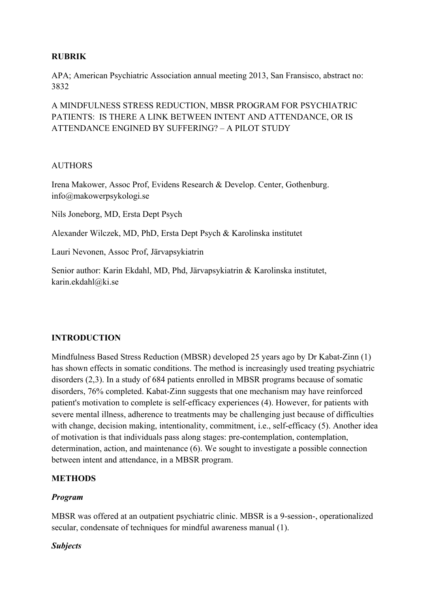## **RUBRIK**

APA; American Psychiatric Association annual meeting 2013, San Fransisco, abstract no: 3832

A MINDFULNESS STRESS REDUCTION, MBSR PROGRAM FOR PSYCHIATRIC PATIENTS: IS THERE A LINK BETWEEN INTENT AND ATTENDANCE, OR IS ATTENDANCE ENGINED BY SUFFERING? – A PILOT STUDY

#### AUTHORS

Irena Makower, Assoc Prof, Evidens Research & Develop. Center, Gothenburg. info@makowerpsykologi.se

Nils Joneborg, MD, Ersta Dept Psych

Alexander Wilczek, MD, PhD, Ersta Dept Psych & Karolinska institutet

Lauri Nevonen, Assoc Prof, Järvapsykiatrin

Senior author: Karin Ekdahl, MD, Phd, Järvapsykiatrin & Karolinska institutet, karin.ekdahl@ki.se

#### **INTRODUCTION**

Mindfulness Based Stress Reduction (MBSR) developed 25 years ago by Dr Kabat-Zinn (1) has shown effects in somatic conditions. The method is increasingly used treating psychiatric disorders (2,3). In a study of 684 patients enrolled in MBSR programs because of somatic disorders, 76% completed. Kabat-Zinn suggests that one mechanism may have reinforced patient's motivation to complete is self-efficacy experiences (4). However, for patients with severe mental illness, adherence to treatments may be challenging just because of difficulties with change, decision making, intentionality, commitment, i.e., self-efficacy (5). Another idea of motivation is that individuals pass along stages: pre-contemplation, contemplation, determination, action, and maintenance (6). We sought to investigate a possible connection between intent and attendance, in a MBSR program.

#### **METHODS**

#### *Program*

MBSR was offered at an outpatient psychiatric clinic. MBSR is a 9-session-, operationalized secular, condensate of techniques for mindful awareness manual (1).

#### *Subjects*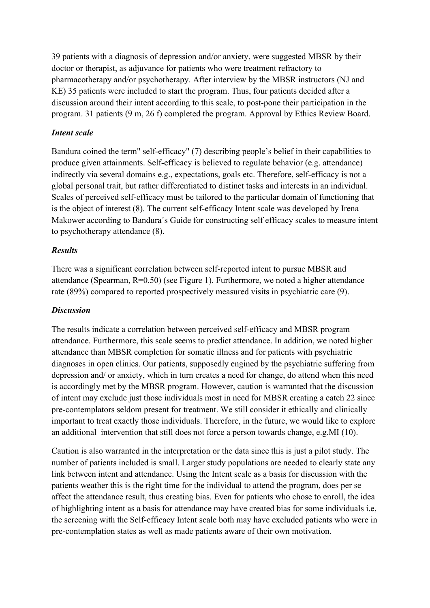39 patients with a diagnosis of depression and/or anxiety, were suggested MBSR by their doctor or therapist, as adjuvance for patients who were treatment refractory to pharmacotherapy and/or psychotherapy. After interview by the MBSR instructors (NJ and KE) 35 patients were included to start the program. Thus, four patients decided after a discussion around their intent according to this scale, to post-pone their participation in the program. 31 patients (9 m, 26 f) completed the program. Approval by Ethics Review Board.

# *Intent scale*

Bandura coined the term" self-efficacy" (7) describing people's belief in their capabilities to produce given attainments. Self-efficacy is believed to regulate behavior (e.g. attendance) indirectly via several domains e.g., expectations, goals etc. Therefore, self-efficacy is not a global personal trait, but rather differentiated to distinct tasks and interests in an individual. Scales of perceived self-efficacy must be tailored to the particular domain of functioning that is the object of interest (8). The current self-efficacy Intent scale was developed by Irena Makower according to Bandura´s Guide for constructing self efficacy scales to measure intent to psychotherapy attendance (8).

# *Results*

There was a significant correlation between self-reported intent to pursue MBSR and attendance (Spearman,  $R=0,50$ ) (see Figure 1). Furthermore, we noted a higher attendance rate (89%) compared to reported prospectively measured visits in psychiatric care (9).

# *Discussion*

The results indicate a correlation between perceived self-efficacy and MBSR program attendance. Furthermore, this scale seems to predict attendance. In addition, we noted higher attendance than MBSR completion for somatic illness and for patients with psychiatric diagnoses in open clinics. Our patients, supposedly engined by the psychiatric suffering from depression and/ or anxiety, which in turn creates a need for change, do attend when this need is accordingly met by the MBSR program. However, caution is warranted that the discussion of intent may exclude just those individuals most in need for MBSR creating a catch 22 since pre-contemplators seldom present for treatment. We still consider it ethically and clinically important to treat exactly those individuals. Therefore, in the future, we would like to explore an additional intervention that still does not force a person towards change, e.g.MI (10).

Caution is also warranted in the interpretation or the data since this is just a pilot study. The number of patients included is small. Larger study populations are needed to clearly state any link between intent and attendance. Using the Intent scale as a basis for discussion with the patients weather this is the right time for the individual to attend the program, does per se affect the attendance result, thus creating bias. Even for patients who chose to enroll, the idea of highlighting intent as a basis for attendance may have created bias for some individuals i.e, the screening with the Self-efficacy Intent scale both may have excluded patients who were in pre-contemplation states as well as made patients aware of their own motivation.